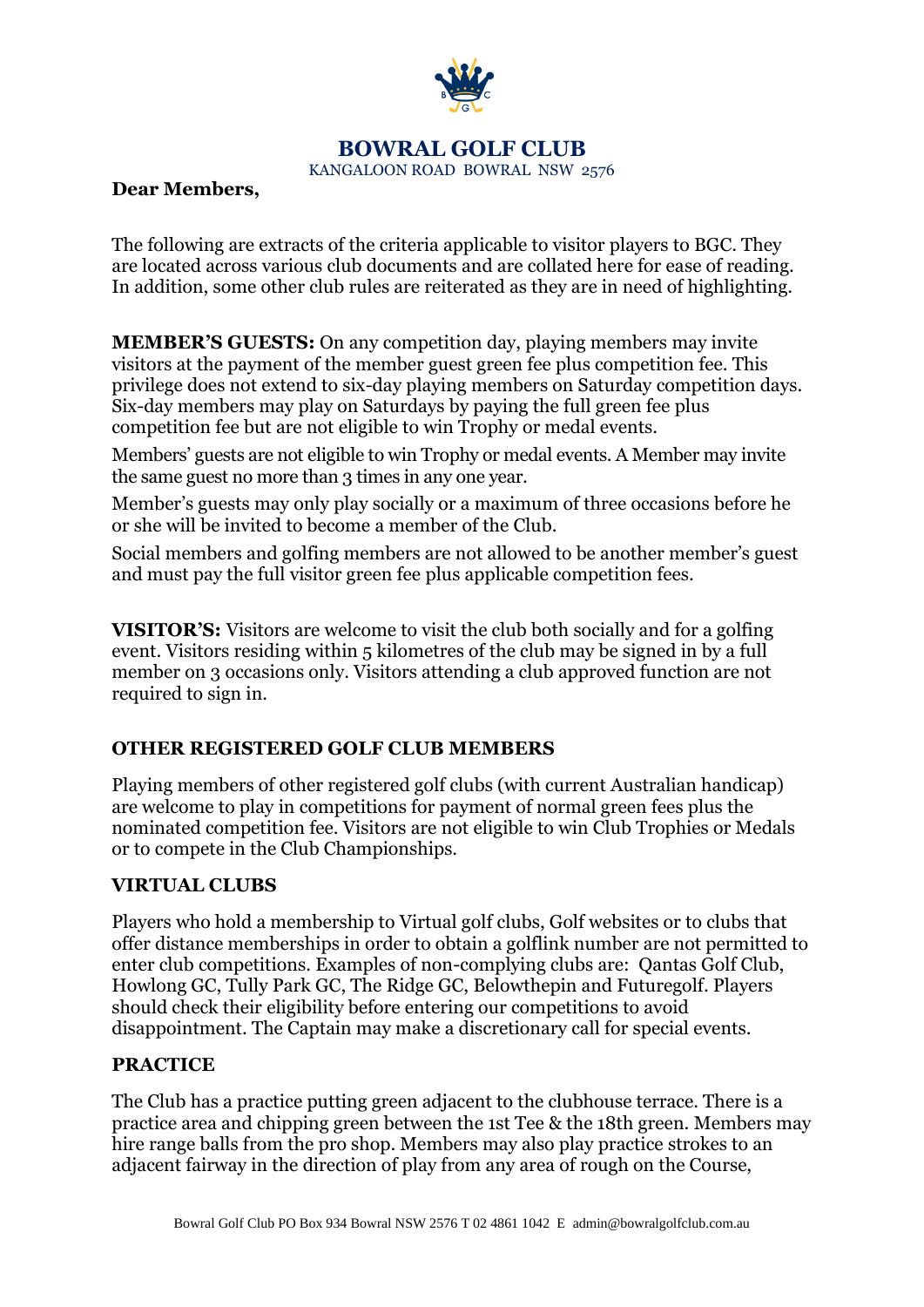

## **BOWRAL GOLF CLUB**

KANGALOON ROAD BOWRAL NSW 2576

## **Dear Members,**

The following are extracts of the criteria applicable to visitor players to BGC. They are located across various club documents and are collated here for ease of reading. In addition, some other club rules are reiterated as they are in need of highlighting.

**MEMBER'S GUESTS:** On any competition day, playing members may invite visitors at the payment of the member guest green fee plus competition fee. This privilege does not extend to six-day playing members on Saturday competition days. Six-day members may play on Saturdays by paying the full green fee plus competition fee but are not eligible to win Trophy or medal events.

Members' guests are not eligible to win Trophy or medal events. A Member may invite the same guest no more than 3 times in any one year.

Member's guests may only play socially or a maximum of three occasions before he or she will be invited to become a member of the Club.

Social members and golfing members are not allowed to be another member's guest and must pay the full visitor green fee plus applicable competition fees.

**VISITOR'S:** Visitors are welcome to visit the club both socially and for a golfing event. Visitors residing within 5 kilometres of the club may be signed in by a full member on 3 occasions only. Visitors attending a club approved function are not required to sign in.

## **OTHER REGISTERED GOLF CLUB MEMBERS**

Playing members of other registered golf clubs (with current Australian handicap) are welcome to play in competitions for payment of normal green fees plus the nominated competition fee. Visitors are not eligible to win Club Trophies or Medals or to compete in the Club Championships.

#### **VIRTUAL CLUBS**

Players who hold a membership to Virtual golf clubs, Golf websites or to clubs that offer distance memberships in order to obtain a golflink number are not permitted to enter club competitions. Examples of non-complying clubs are: Qantas Golf Club, Howlong GC, Tully Park GC, The Ridge GC, Belowthepin and Futuregolf. Players should check their eligibility before entering our competitions to avoid disappointment. The Captain may make a discretionary call for special events.

## **PRACTICE**

The Club has a practice putting green adjacent to the clubhouse terrace. There is a practice area and chipping green between the 1st Tee & the 18th green. Members may hire range balls from the pro shop. Members may also play practice strokes to an adjacent fairway in the direction of play from any area of rough on the Course,